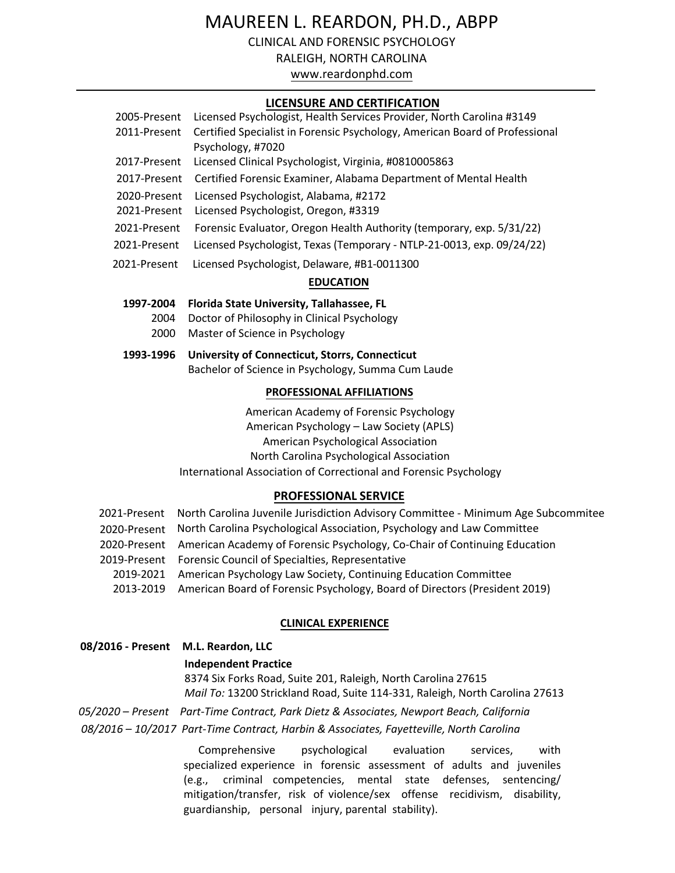# MAUREEN L. REARDON, PH.D., ABPP

CLINICAL AND FORENSIC PSYCHOLOGY

RALEIGH, NORTH CAROLINA

www.reardonphd.com

## **LICENSURE AND CERTIFICATION**

| 2005-Present | Licensed Psychologist, Health Services Provider, North Carolina #3149       |  |
|--------------|-----------------------------------------------------------------------------|--|
| 2011-Present | Certified Specialist in Forensic Psychology, American Board of Professional |  |
|              | Psychology, #7020                                                           |  |
| 2017-Present | Licensed Clinical Psychologist, Virginia, #0810005863                       |  |
| 2017-Present | Certified Forensic Examiner, Alabama Department of Mental Health            |  |
| 2020-Present | Licensed Psychologist, Alabama, #2172                                       |  |
| 2021-Present | Licensed Psychologist, Oregon, #3319                                        |  |
| 2021-Present | Forensic Evaluator, Oregon Health Authority (temporary, exp. 5/31/22)       |  |
| 2021-Present | Licensed Psychologist, Texas (Temporary - NTLP-21-0013, exp. 09/24/22)      |  |
| 2021-Present | Licensed Psychologist, Delaware, #B1-0011300                                |  |
|              |                                                                             |  |

## **EDUCATION**

## **1997-2004 Florida State University, Tallahassee, FL**

- 2004 Doctor of Philosophy in Clinical Psychology
- 2000 Master of Science in Psychology

## **1993-1996 University of Connecticut, Storrs, Connecticut** Bachelor of Science in Psychology, Summa Cum Laude

## **PROFESSIONAL AFFILIATIONS**

American Academy of Forensic Psychology American Psychology – Law Society (APLS) American Psychological Association North Carolina Psychological Association

International Association of Correctional and Forensic Psychology

## **PROFESSIONAL SERVICE**

| 2021-Present North Carolina Juvenile Jurisdiction Advisory Committee - Minimum Age Subcommitee |  |
|------------------------------------------------------------------------------------------------|--|
| 2020-Present North Carolina Psychological Association, Psychology and Law Committee            |  |
| 2020-Present American Academy of Forensic Psychology, Co-Chair of Continuing Education         |  |
| 2019-Present Forensic Council of Specialties, Representative                                   |  |
| 2019-2021 American Psychology Law Society, Continuing Education Committee                      |  |
| 2013-2019 American Board of Forensic Psychology, Board of Directors (President 2019)           |  |
|                                                                                                |  |

## **CLINICAL EXPERIENCE**

## **08/2016 - Present M.L. Reardon, LLC**

#### **Independent Practice**

8374 Six Forks Road, Suite 201, Raleigh, North Carolina 27615 *Mail To:* 13200 Strickland Road, Suite 114-331, Raleigh, North Carolina 27613

*05/2020 – Present Part-Time Contract, Park Dietz & Associates, Newport Beach, California 08/2016 – 10/2017 Part-Time Contract, Harbin & Associates, Fayetteville, North Carolina*

> Comprehensive psychological evaluation services, with specialized experience in forensic assessment of adults and juveniles (e.g., criminal competencies, mental state defenses, sentencing/ mitigation/transfer, risk of violence/sex offense recidivism, disability, guardianship, personal injury, parental stability).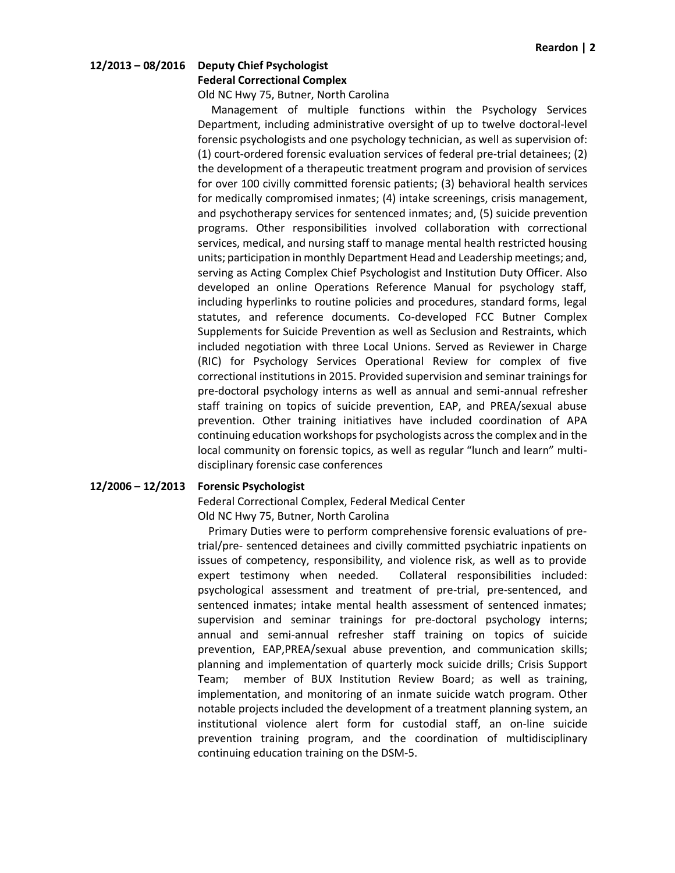# **12/2013 – 08/2016 Deputy Chief Psychologist**

## **Federal Correctional Complex**

Old NC Hwy 75, Butner, North Carolina

 Management of multiple functions within the Psychology Services Department, including administrative oversight of up to twelve doctoral-level forensic psychologists and one psychology technician, as well as supervision of: (1) court-ordered forensic evaluation services of federal pre-trial detainees; (2) the development of a therapeutic treatment program and provision of services for over 100 civilly committed forensic patients; (3) behavioral health services for medically compromised inmates; (4) intake screenings, crisis management, and psychotherapy services for sentenced inmates; and, (5) suicide prevention programs. Other responsibilities involved collaboration with correctional services, medical, and nursing staff to manage mental health restricted housing units; participation in monthly Department Head and Leadership meetings; and, serving as Acting Complex Chief Psychologist and Institution Duty Officer. Also developed an online Operations Reference Manual for psychology staff, including hyperlinks to routine policies and procedures, standard forms, legal statutes, and reference documents. Co-developed FCC Butner Complex Supplements for Suicide Prevention as well as Seclusion and Restraints, which included negotiation with three Local Unions. Served as Reviewer in Charge (RIC) for Psychology Services Operational Review for complex of five correctional institutions in 2015. Provided supervision and seminar trainings for pre-doctoral psychology interns as well as annual and semi-annual refresher staff training on topics of suicide prevention, EAP, and PREA/sexual abuse prevention. Other training initiatives have included coordination of APA continuing education workshops for psychologists across the complex and in the local community on forensic topics, as well as regular "lunch and learn" multidisciplinary forensic case conferences

## **12/2006 – 12/2013 Forensic Psychologist**

Federal Correctional Complex, Federal Medical Center Old NC Hwy 75, Butner, North Carolina

 Primary Duties were to perform comprehensive forensic evaluations of pretrial/pre- sentenced detainees and civilly committed psychiatric inpatients on issues of competency, responsibility, and violence risk, as well as to provide expert testimony when needed. Collateral responsibilities included: psychological assessment and treatment of pre-trial, pre-sentenced, and sentenced inmates; intake mental health assessment of sentenced inmates; supervision and seminar trainings for pre-doctoral psychology interns; annual and semi-annual refresher staff training on topics of suicide prevention, EAP,PREA/sexual abuse prevention, and communication skills; planning and implementation of quarterly mock suicide drills; Crisis Support Team; member of BUX Institution Review Board; as well as training, implementation, and monitoring of an inmate suicide watch program. Other notable projects included the development of a treatment planning system, an institutional violence alert form for custodial staff, an on-line suicide prevention training program, and the coordination of multidisciplinary continuing education training on the DSM-5.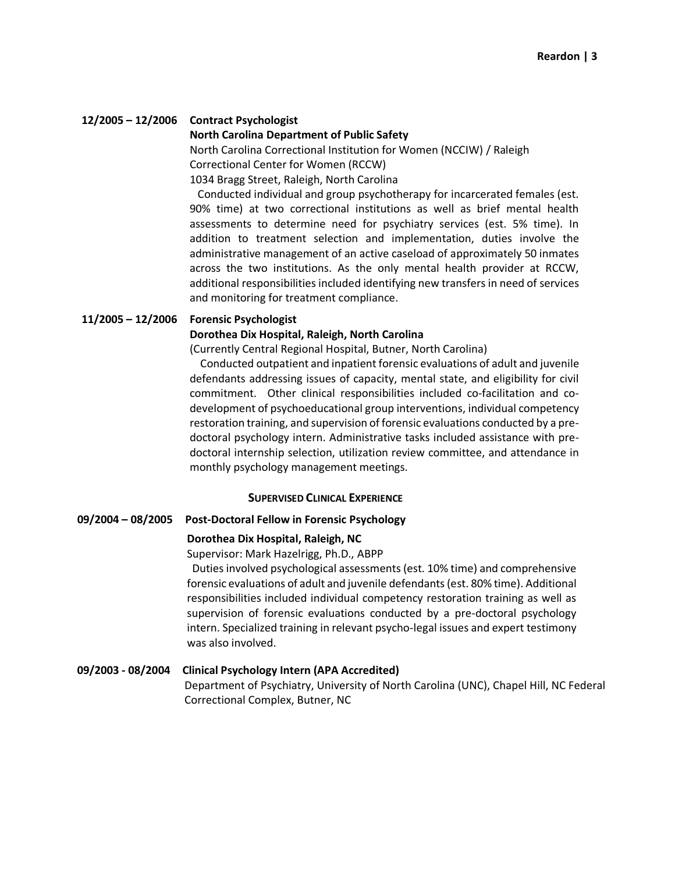## **12/2005 – 12/2006 Contract Psychologist**

#### **North Carolina Department of Public Safety**

North Carolina Correctional Institution for Women (NCCIW) / Raleigh Correctional Center for Women (RCCW) 1034 Bragg Street, Raleigh, North Carolina

 Conducted individual and group psychotherapy for incarcerated females (est. 90% time) at two correctional institutions as well as brief mental health assessments to determine need for psychiatry services (est. 5% time). In addition to treatment selection and implementation, duties involve the administrative management of an active caseload of approximately 50 inmates across the two institutions. As the only mental health provider at RCCW, additional responsibilities included identifying new transfers in need of services and monitoring for treatment compliance.

#### **11/2005 – 12/2006 Forensic Psychologist**

## **Dorothea Dix Hospital, Raleigh, North Carolina**

(Currently Central Regional Hospital, Butner, North Carolina)

 Conducted outpatient and inpatient forensic evaluations of adult and juvenile defendants addressing issues of capacity, mental state, and eligibility for civil commitment. Other clinical responsibilities included co-facilitation and codevelopment of psychoeducational group interventions, individual competency restoration training, and supervision of forensic evaluations conducted by a predoctoral psychology intern. Administrative tasks included assistance with predoctoral internship selection, utilization review committee, and attendance in monthly psychology management meetings.

#### **SUPERVISED CLINICAL EXPERIENCE**

#### **09/2004 – 08/2005 Post-Doctoral Fellow in Forensic Psychology**

#### **Dorothea Dix Hospital, Raleigh, NC**

Supervisor: Mark Hazelrigg, Ph.D., ABPP

 Duties involved psychological assessments (est. 10% time) and comprehensive forensic evaluations of adult and juvenile defendants (est. 80% time). Additional responsibilities included individual competency restoration training as well as supervision of forensic evaluations conducted by a pre-doctoral psychology intern. Specialized training in relevant psycho-legal issues and expert testimony was also involved.

## **09/2003 - 08/2004 Clinical Psychology Intern (APA Accredited)**

Department of Psychiatry, University of North Carolina (UNC), Chapel Hill, NC Federal Correctional Complex, Butner, NC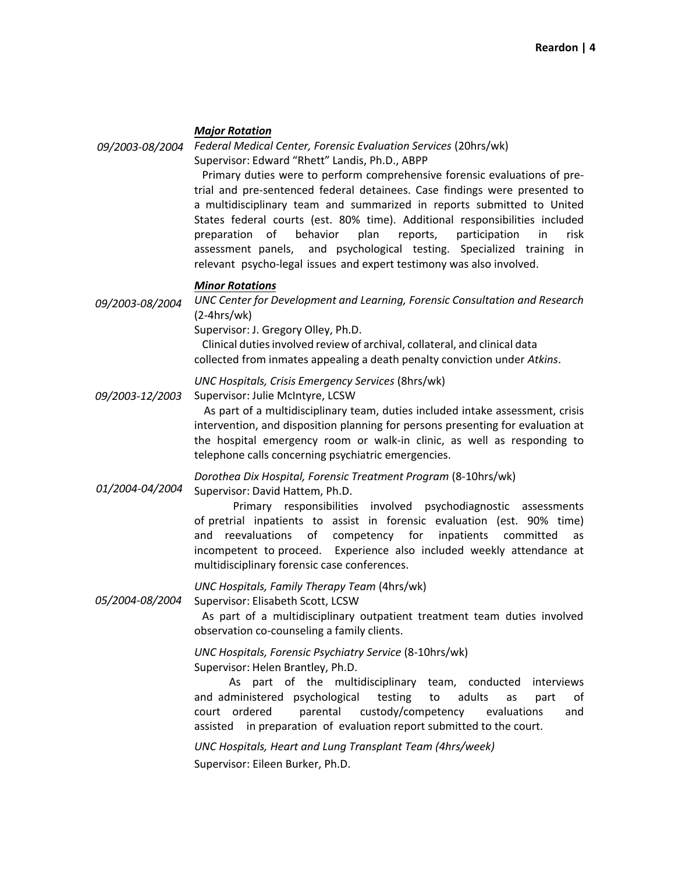## *Major Rotation*

*09/2003-08/2004 Federal Medical Center, Forensic Evaluation Services* (20hrs/wk)

Supervisor: Edward "Rhett" Landis, Ph.D., ABPP

 Primary duties were to perform comprehensive forensic evaluations of pretrial and pre-sentenced federal detainees. Case findings were presented to a multidisciplinary team and summarized in reports submitted to United States federal courts (est. 80% time). Additional responsibilities included preparation of behavior plan reports, participation in risk assessment panels, and psychological testing. Specialized training in relevant psycho-legal issues and expert testimony was also involved.

## *Minor Rotations*

*09/2003-08/2004 UNC Center for Development and Learning, Forensic Consultation and Research*  (2-4hrs/wk)

Supervisor: J. Gregory Olley, Ph.D.

 Clinical duties involved review of archival, collateral, and clinical data collected from inmates appealing a death penalty conviction under *Atkins*.

*UNC Hospitals, Crisis Emergency Services* (8hrs/wk)

*09/2003-12/2003*  Supervisor: Julie McIntyre, LCSW

 As part of a multidisciplinary team, duties included intake assessment, crisis intervention, and disposition planning for persons presenting for evaluation at the hospital emergency room or walk-in clinic, as well as responding to telephone calls concerning psychiatric emergencies.

*01/2004-04/2004 Dorothea Dix Hospital, Forensic Treatment Program* (8-10hrs/wk) Supervisor: David Hattem, Ph.D.

Primary responsibilities involved psychodiagnostic assessments

of pretrial inpatients to assist in forensic evaluation (est. 90% time) and reevaluations of competency for inpatients committed as incompetent to proceed. Experience also included weekly attendance at multidisciplinary forensic case conferences.

*UNC Hospitals, Family Therapy Team* (4hrs/wk)

*05/2004-08/2004* Supervisor: Elisabeth Scott, LCSW

> As part of a multidisciplinary outpatient treatment team duties involved observation co-counseling a family clients.

*UNC Hospitals, Forensic Psychiatry Service* (8-10hrs/wk) Supervisor: Helen Brantley, Ph.D.

As part of the multidisciplinary team, conducted interviews and administered psychological testing to adults as part of court ordered parental custody/competency evaluations and assisted in preparation of evaluation report submitted to the court.

*UNC Hospitals, Heart and Lung Transplant Team (4hrs/week)* Supervisor: Eileen Burker, Ph.D.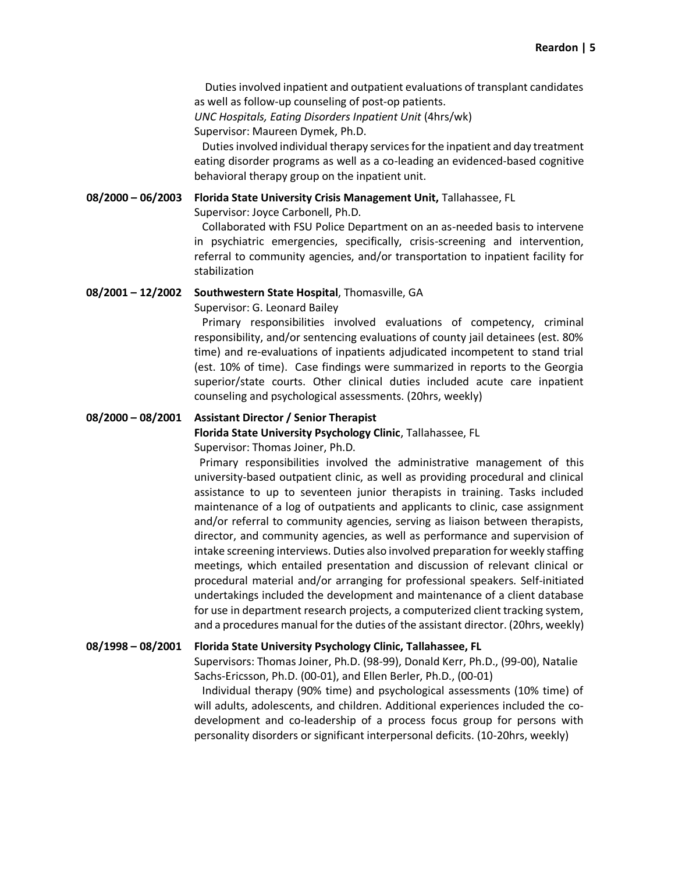Duties involved inpatient and outpatient evaluations of transplant candidates as well as follow-up counseling of post-op patients.

*UNC Hospitals, Eating Disorders Inpatient Unit* (4hrs/wk) Supervisor: Maureen Dymek, Ph.D.

 Duties involved individual therapy services for the inpatient and day treatment eating disorder programs as well as a co-leading an evidenced-based cognitive behavioral therapy group on the inpatient unit.

**08/2000 – 06/2003 Florida State University Crisis Management Unit,** Tallahassee, FL

Supervisor: Joyce Carbonell, Ph.D.

 Collaborated with FSU Police Department on an as-needed basis to intervene in psychiatric emergencies, specifically, crisis-screening and intervention, referral to community agencies, and/or transportation to inpatient facility for stabilization

#### **08/2001 – 12/2002 Southwestern State Hospital**, Thomasville, GA

Supervisor: G. Leonard Bailey

 Primary responsibilities involved evaluations of competency, criminal responsibility, and/or sentencing evaluations of county jail detainees (est. 80% time) and re-evaluations of inpatients adjudicated incompetent to stand trial (est. 10% of time). Case findings were summarized in reports to the Georgia superior/state courts. Other clinical duties included acute care inpatient counseling and psychological assessments. (20hrs, weekly)

#### **08/2000 – 08/2001 Assistant Director / Senior Therapist**

**Florida State University Psychology Clinic**, Tallahassee, FL

Supervisor: Thomas Joiner, Ph.D.

 Primary responsibilities involved the administrative management of this university-based outpatient clinic, as well as providing procedural and clinical assistance to up to seventeen junior therapists in training. Tasks included maintenance of a log of outpatients and applicants to clinic, case assignment and/or referral to community agencies, serving as liaison between therapists, director, and community agencies, as well as performance and supervision of intake screening interviews. Duties also involved preparation for weekly staffing meetings, which entailed presentation and discussion of relevant clinical or procedural material and/or arranging for professional speakers. Self-initiated undertakings included the development and maintenance of a client database for use in department research projects, a computerized client tracking system, and a procedures manual for the duties of the assistant director. (20hrs, weekly)

#### **08/1998 – 08/2001 Florida State University Psychology Clinic, Tallahassee, FL**

Supervisors: Thomas Joiner, Ph.D. (98-99), Donald Kerr, Ph.D., (99-00), Natalie Sachs-Ericsson, Ph.D. (00-01), and Ellen Berler, Ph.D., (00-01)

 Individual therapy (90% time) and psychological assessments (10% time) of will adults, adolescents, and children. Additional experiences included the codevelopment and co-leadership of a process focus group for persons with personality disorders or significant interpersonal deficits. (10-20hrs, weekly)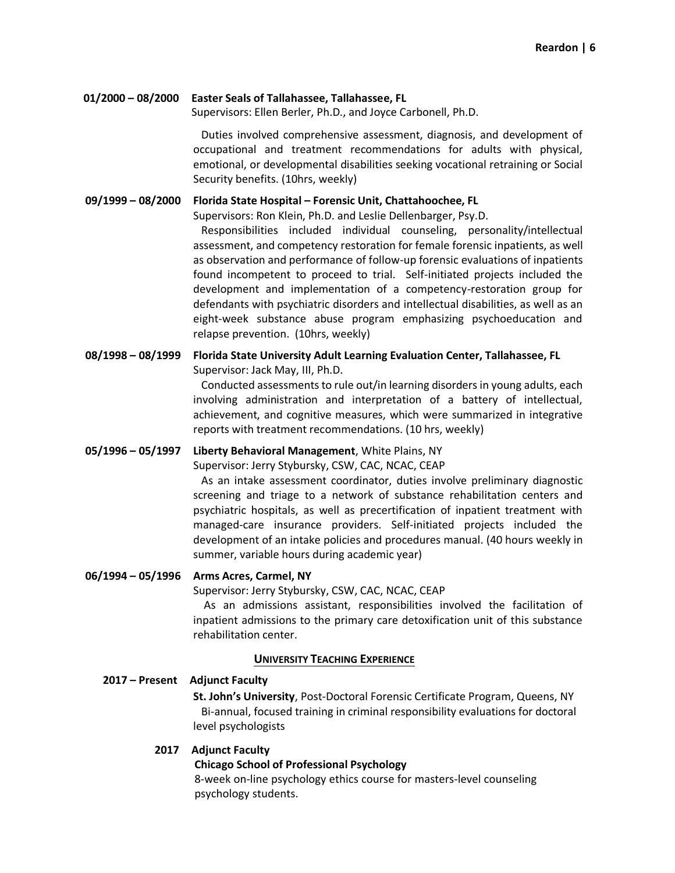## **01/2000 – 08/2000 Easter Seals of Tallahassee, Tallahassee, FL**

Supervisors: Ellen Berler, Ph.D., and Joyce Carbonell, Ph.D.

 Duties involved comprehensive assessment, diagnosis, and development of occupational and treatment recommendations for adults with physical, emotional, or developmental disabilities seeking vocational retraining or Social Security benefits. (10hrs, weekly)

#### **09/1999 – 08/2000 Florida State Hospital – Forensic Unit, Chattahoochee, FL**

Supervisors: Ron Klein, Ph.D. and Leslie Dellenbarger, Psy.D.

 Responsibilities included individual counseling, personality/intellectual assessment, and competency restoration for female forensic inpatients, as well as observation and performance of follow-up forensic evaluations of inpatients found incompetent to proceed to trial. Self-initiated projects included the development and implementation of a competency-restoration group for defendants with psychiatric disorders and intellectual disabilities, as well as an eight-week substance abuse program emphasizing psychoeducation and relapse prevention. (10hrs, weekly)

## **08/1998 – 08/1999 Florida State University Adult Learning Evaluation Center, Tallahassee, FL**  Supervisor: Jack May, III, Ph.D.

 Conducted assessments to rule out/in learning disorders in young adults, each involving administration and interpretation of a battery of intellectual, achievement, and cognitive measures, which were summarized in integrative reports with treatment recommendations. (10 hrs, weekly)

## **05/1996 – 05/1997 Liberty Behavioral Management**, White Plains, NY

Supervisor: Jerry Stybursky, CSW, CAC, NCAC, CEAP

 As an intake assessment coordinator, duties involve preliminary diagnostic screening and triage to a network of substance rehabilitation centers and psychiatric hospitals, as well as precertification of inpatient treatment with managed-care insurance providers. Self-initiated projects included the development of an intake policies and procedures manual. (40 hours weekly in summer, variable hours during academic year)

## **06/1994 – 05/1996 Arms Acres, Carmel, NY**

Supervisor: Jerry Stybursky, CSW, CAC, NCAC, CEAP

 As an admissions assistant, responsibilities involved the facilitation of inpatient admissions to the primary care detoxification unit of this substance rehabilitation center.

## **UNIVERSITY TEACHING EXPERIENCE**

## **2017 – Present Adjunct Faculty**

**St. John's University**, Post-Doctoral Forensic Certificate Program, Queens, NY Bi-annual, focused training in criminal responsibility evaluations for doctoral level psychologists

## **2017 Adjunct Faculty**

## **Chicago School of Professional Psychology**

8-week on-line psychology ethics course for masters-level counseling psychology students.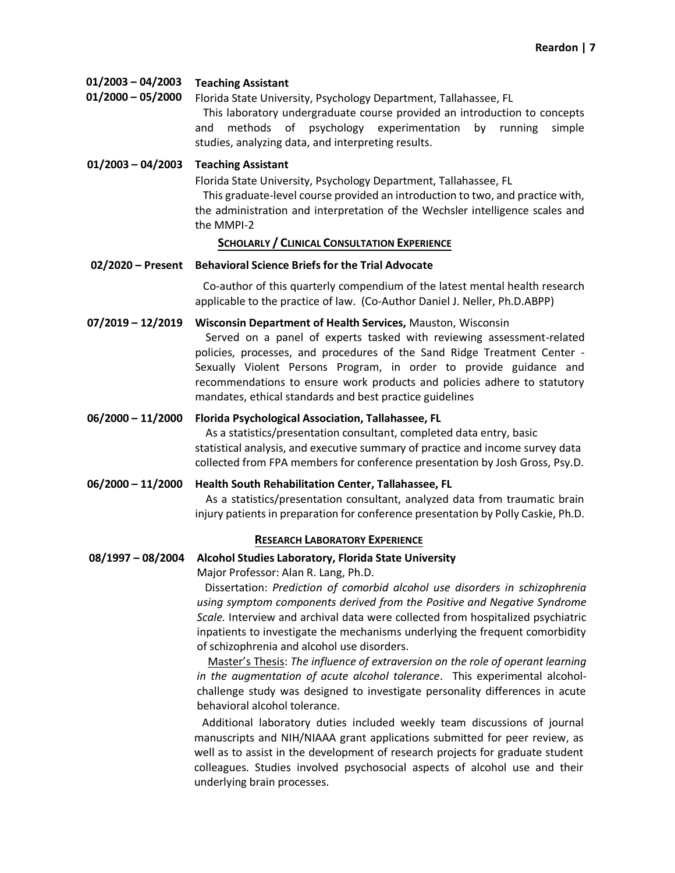| 01/2003 - 04/2003 | <b>Teaching Assistant</b> |
|-------------------|---------------------------|
|-------------------|---------------------------|

**01/2000 – 05/2000** Florida State University, Psychology Department, Tallahassee, FL This laboratory undergraduate course provided an introduction to concepts and methods of psychology experimentation by running simple studies, analyzing data, and interpreting results.

**01/2003 – 04/2003 Teaching Assistant** 

Florida State University, Psychology Department, Tallahassee, FL This graduate-level course provided an introduction to two, and practice with, the administration and interpretation of the Wechsler intelligence scales and the MMPI-2

## **SCHOLARLY / CLINICAL CONSULTATION EXPERIENCE**

## **02/2020 – Present Behavioral Science Briefs for the Trial Advocate**

 Co-author of this quarterly compendium of the latest mental health research applicable to the practice of law. (Co-Author Daniel J. Neller, Ph.D.ABPP)

**07/2019 – 12/2019 Wisconsin Department of Health Services,** Mauston, Wisconsin

 Served on a panel of experts tasked with reviewing assessment-related policies, processes, and procedures of the Sand Ridge Treatment Center - Sexually Violent Persons Program, in order to provide guidance and recommendations to ensure work products and policies adhere to statutory mandates, ethical standards and best practice guidelines

**06/2000 – 11/2000 Florida Psychological Association, Tallahassee, FL** 

 As a statistics/presentation consultant, completed data entry, basic statistical analysis, and executive summary of practice and income survey data collected from FPA members for conference presentation by Josh Gross, Psy.D.

**06/2000 – 11/2000 Health South Rehabilitation Center, Tallahassee, FL** 

 As a statistics/presentation consultant, analyzed data from traumatic brain injury patients in preparation for conference presentation by Polly Caskie, Ph.D.

## **RESEARCH LABORATORY EXPERIENCE**

## **08/1997 – 08/2004 Alcohol Studies Laboratory, Florida State University**

Major Professor: Alan R. Lang, Ph.D.

 Dissertation: *Prediction of comorbid alcohol use disorders in schizophrenia using symptom components derived from the Positive and Negative Syndrome Scale.* Interview and archival data were collected from hospitalized psychiatric inpatients to investigate the mechanisms underlying the frequent comorbidity of schizophrenia and alcohol use disorders.

 Master's Thesis: *The influence of extraversion on the role of operant learning in the augmentation of acute alcohol tolerance*. This experimental alcoholchallenge study was designed to investigate personality differences in acute behavioral alcohol tolerance.

 Additional laboratory duties included weekly team discussions of journal manuscripts and NIH/NIAAA grant applications submitted for peer review, as well as to assist in the development of research projects for graduate student colleagues. Studies involved psychosocial aspects of alcohol use and their underlying brain processes.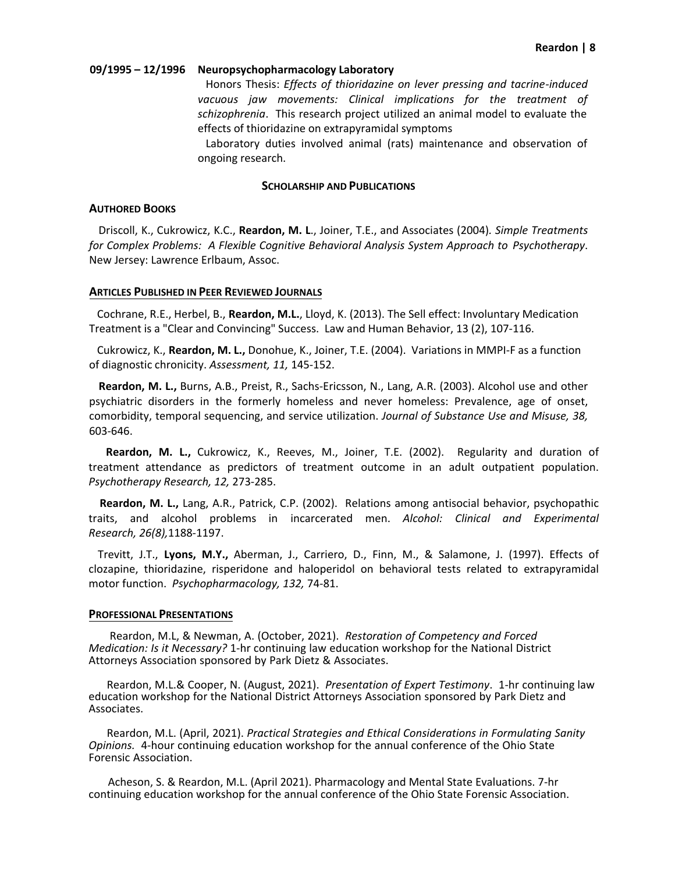#### **09/1995 – 12/1996 Neuropsychopharmacology Laboratory**

 Honors Thesis: *Effects of thioridazine on lever pressing and tacrine-induced vacuous jaw movements: Clinical implications for the treatment of schizophrenia*. This research project utilized an animal model to evaluate the effects of thioridazine on extrapyramidal symptoms

 Laboratory duties involved animal (rats) maintenance and observation of ongoing research.

#### **SCHOLARSHIP AND PUBLICATIONS**

#### **AUTHORED BOOKS**

 Driscoll, K., Cukrowicz, K.C., **Reardon, M. L**., Joiner, T.E., and Associates (2004)*. Simple Treatments for Complex Problems: A Flexible Cognitive Behavioral Analysis System Approach to Psychotherapy*. New Jersey: Lawrence Erlbaum, Assoc.

#### **ARTICLES PUBLISHED IN PEER REVIEWED JOURNALS**

 Cochrane, R.E., Herbel, B., **Reardon, M.L.**, Lloyd, K. (2013). The Sell effect: Involuntary Medication Treatment is a "Clear and Convincing" Success. Law and Human Behavior, 13 (2), 107-116.

 Cukrowicz, K., **Reardon, M. L.,** Donohue, K., Joiner, T.E. (2004). Variations in MMPI-F as a function of diagnostic chronicity. *Assessment, 11,* 145-152.

 **Reardon, M. L.,** Burns, A.B., Preist, R., Sachs-Ericsson, N., Lang, A.R. (2003). Alcohol use and other psychiatric disorders in the formerly homeless and never homeless: Prevalence, age of onset, comorbidity, temporal sequencing, and service utilization. *Journal of Substance Use and Misuse, 38,* 603-646.

**Reardon, M. L.,** Cukrowicz, K., Reeves, M., Joiner, T.E. (2002). Regularity and duration of treatment attendance as predictors of treatment outcome in an adult outpatient population. *Psychotherapy Research, 12,* 273-285.

 **Reardon, M. L.,** Lang, A.R., Patrick, C.P. (2002). Relations among antisocial behavior, psychopathic traits, and alcohol problems in incarcerated men. *Alcohol: Clinical and Experimental Research, 26(8),*1188-1197.

 Trevitt, J.T., **Lyons, M.Y.,** Aberman, J., Carriero, D., Finn, M., & Salamone, J. (1997). Effects of clozapine, thioridazine, risperidone and haloperidol on behavioral tests related to extrapyramidal motor function. *Psychopharmacology, 132,* 74-81.

#### **PROFESSIONAL PRESENTATIONS**

 Reardon, M.L, & Newman, A. (October, 2021). *Restoration of Competency and Forced Medication: Is it Necessary?* 1-hr continuing law education workshop for the National District Attorneys Association sponsored by Park Dietz & Associates.

 Reardon, M.L.& Cooper, N. (August, 2021). *Presentation of Expert Testimony*. 1-hr continuing law education workshop for the National District Attorneys Association sponsored by Park Dietz and Associates.

 Reardon, M.L. (April, 2021). *Practical Strategies and Ethical Considerations in Formulating Sanity Opinions.* 4-hour continuing education workshop for the annual conference of the Ohio State Forensic Association.

 Acheson, S. & Reardon, M.L. (April 2021). Pharmacology and Mental State Evaluations. 7-hr continuing education workshop for the annual conference of the Ohio State Forensic Association.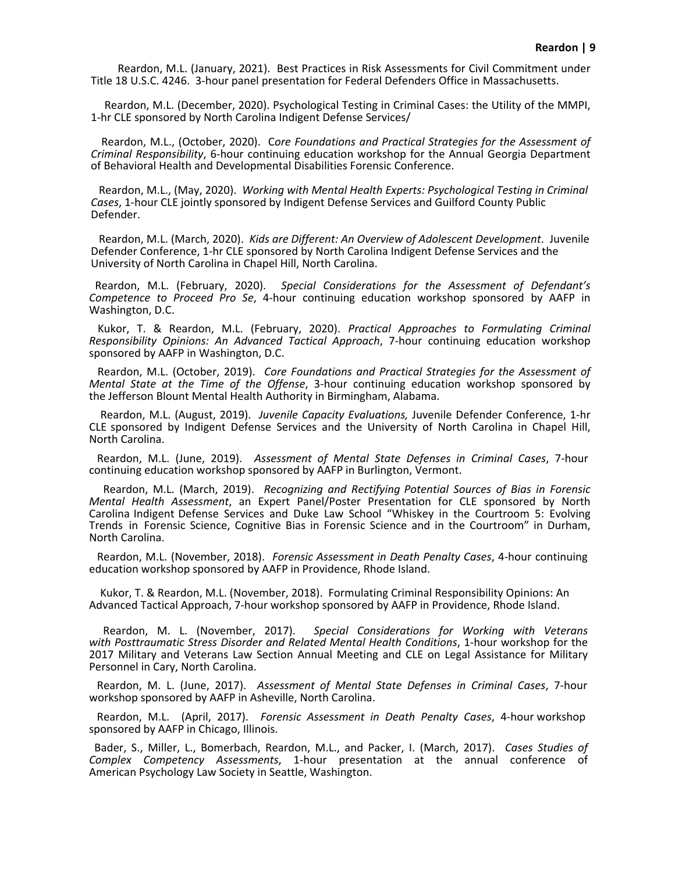Reardon, M.L. (January, 2021). Best Practices in Risk Assessments for Civil Commitment under Title 18 U.S.C. 4246. 3-hour panel presentation for Federal Defenders Office in Massachusetts.

 Reardon, M.L. (December, 2020). Psychological Testing in Criminal Cases: the Utility of the MMPI, 1-hr CLE sponsored by North Carolina Indigent Defense Services/

Reardon, M.L., (October, 2020). C*ore Foundations and Practical Strategies for the Assessment of Criminal Responsibility*, 6-hour continuing education workshop for the Annual Georgia Department of Behavioral Health and Developmental Disabilities Forensic Conference.

Reardon, M.L., (May, 2020). *Working with Mental Health Experts: Psychological Testing in Criminal Cases*, 1-hour CLE jointly sponsored by Indigent Defense Services and Guilford County Public Defender.

Reardon, M.L. (March, 2020). *Kids are Different: An Overview of Adolescent Development*. Juvenile Defender Conference, 1-hr CLE sponsored by North Carolina Indigent Defense Services and the University of North Carolina in Chapel Hill, North Carolina.

Reardon, M.L. (February, 2020). *Special Considerations for the Assessment of Defendant's Competence to Proceed Pro Se*, 4-hour continuing education workshop sponsored by AAFP in Washington, D.C.

 Kukor, T. & Reardon, M.L. (February, 2020). *Practical Approaches to Formulating Criminal Responsibility Opinions: An Advanced Tactical Approach*, 7-hour continuing education workshop sponsored by AAFP in Washington, D.C.

 Reardon, M.L. (October, 2019). *Core Foundations and Practical Strategies for the Assessment of Mental State at the Time of the Offense*, 3-hour continuing education workshop sponsored by the Jefferson Blount Mental Health Authority in Birmingham, Alabama.

 Reardon, M.L. (August, 2019). *Juvenile Capacity Evaluations,* Juvenile Defender Conference, 1-hr CLE sponsored by Indigent Defense Services and the University of North Carolina in Chapel Hill, North Carolina.

 Reardon, M.L. (June, 2019). *Assessment of Mental State Defenses in Criminal Cases*, 7-hour continuing education workshop sponsored by AAFP in Burlington, Vermont.

 Reardon, M.L. (March, 2019). *Recognizing and Rectifying Potential Sources of Bias in Forensic Mental Health Assessment*, an Expert Panel/Poster Presentation for CLE sponsored by North Carolina Indigent Defense Services and Duke Law School "Whiskey in the Courtroom 5: Evolving Trends in Forensic Science, Cognitive Bias in Forensic Science and in the Courtroom" in Durham, North Carolina.

 Reardon, M.L. (November, 2018). *Forensic Assessment in Death Penalty Cases*, 4-hour continuing education workshop sponsored by AAFP in Providence, Rhode Island.

 Kukor, T. & Reardon, M.L. (November, 2018). Formulating Criminal Responsibility Opinions: An Advanced Tactical Approach, 7-hour workshop sponsored by AAFP in Providence, Rhode Island.

Reardon, M. L. (November, 2017). *Special Considerations for Working with Veterans with Posttraumatic Stress Disorder and Related Mental Health Conditions*, 1-hour workshop for the 2017 Military and Veterans Law Section Annual Meeting and CLE on Legal Assistance for Military Personnel in Cary, North Carolina.

 Reardon, M. L. (June, 2017). *Assessment of Mental State Defenses in Criminal Cases*, 7-hour workshop sponsored by AAFP in Asheville, North Carolina.

 Reardon, M.L. (April, 2017). *Forensic Assessment in Death Penalty Cases*, 4-hour workshop sponsored by AAFP in Chicago, Illinois.

 Bader, S., Miller, L., Bomerbach, Reardon, M.L., and Packer, I. (March, 2017). *Cases Studies of Complex Competency Assessments*, 1-hour presentation at the annual conference of American Psychology Law Society in Seattle, Washington.